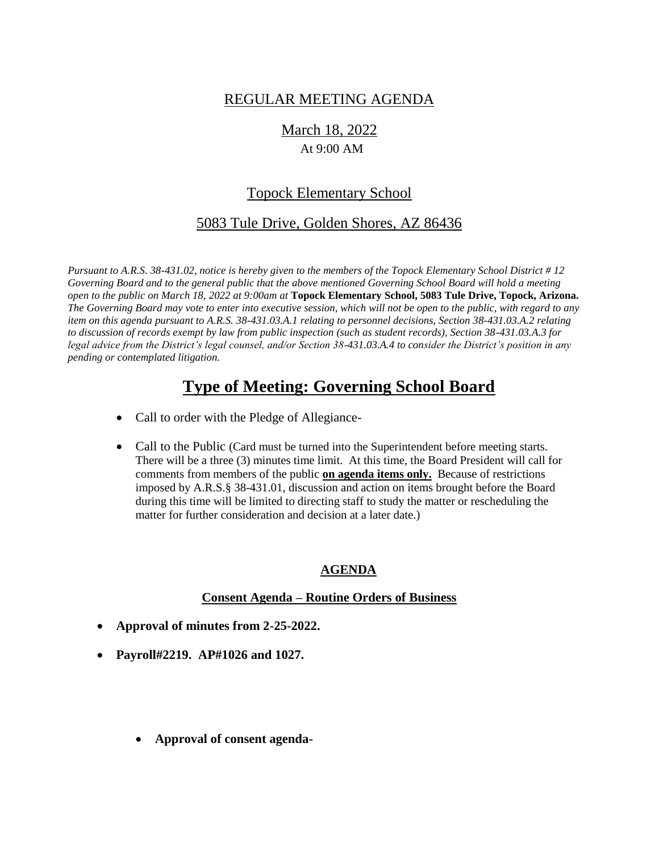# REGULAR MEETING AGENDA

March 18, 2022 At 9:00 AM

# Topock Elementary School

# 5083 Tule Drive, Golden Shores, AZ 86436

*Pursuant to A.R.S. 38-431.02, notice is hereby given to the members of the Topock Elementary School District # 12 Governing Board and to the general public that the above mentioned Governing School Board will hold a meeting open to the public on March 18, 2022 at 9:00am at* **Topock Elementary School, 5083 Tule Drive, Topock, Arizona.**  *The Governing Board may vote to enter into executive session, which will not be open to the public, with regard to any item on this agenda pursuant to A.R.S. 38-431.03.A.1 relating to personnel decisions, Section 38-431.03.A.2 relating to discussion of records exempt by law from public inspection (such as student records), Section 38-431.03.A.3 for legal advice from the District's legal counsel, and/or Section 38-431.03.A.4 to consider the District's position in any pending or contemplated litigation.*

# **Type of Meeting: Governing School Board**

- Call to order with the Pledge of Allegiance-
- Call to the Public (Card must be turned into the Superintendent before meeting starts. There will be a three (3) minutes time limit. At this time, the Board President will call for comments from members of the public **on agenda items only.** Because of restrictions imposed by A.R.S.§ 38-431.01, discussion and action on items brought before the Board during this time will be limited to directing staff to study the matter or rescheduling the matter for further consideration and decision at a later date.)

## **AGENDA**

## **Consent Agenda – Routine Orders of Business**

- **Approval of minutes from 2-25-2022.**
- **Payroll#2219. AP#1026 and 1027.**
	- **Approval of consent agenda-**